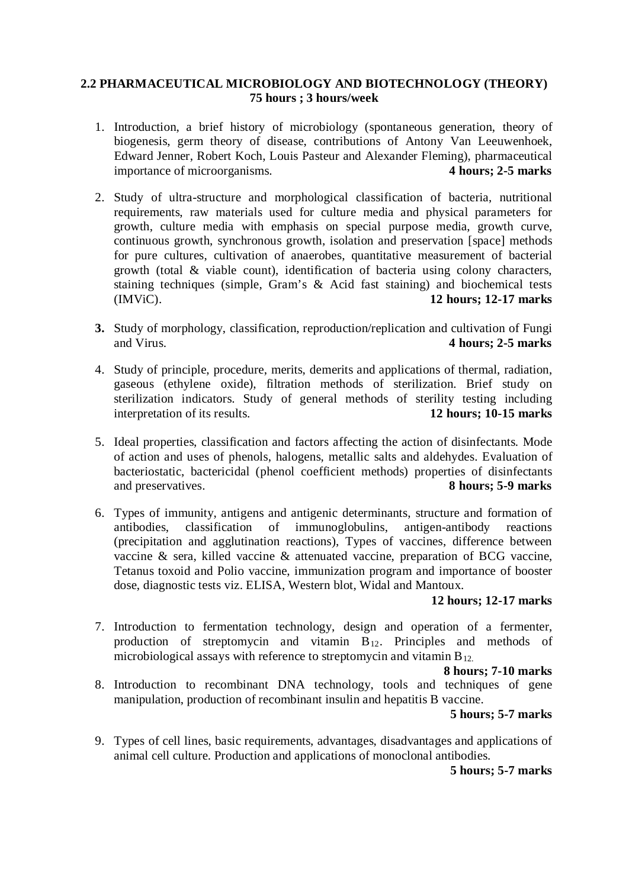## **2.2 PHARMACEUTICAL MICROBIOLOGY AND BIOTECHNOLOGY (THEORY) 75 hours ; 3 hours/week**

- 1. Introduction, a brief history of microbiology (spontaneous generation, theory of biogenesis, germ theory of disease, contributions of Antony Van Leeuwenhoek, Edward Jenner, Robert Koch, Louis Pasteur and Alexander Fleming), pharmaceutical importance of microorganisms. **4 hours; 2-5 marks**
- 2. Study of ultra-structure and morphological classification of bacteria, nutritional requirements, raw materials used for culture media and physical parameters for growth, culture media with emphasis on special purpose media, growth curve, continuous growth, synchronous growth, isolation and preservation [space] methods for pure cultures, cultivation of anaerobes, quantitative measurement of bacterial growth (total & viable count), identification of bacteria using colony characters, staining techniques (simple, Gram's & Acid fast staining) and biochemical tests (IMViC). **12 hours; 12-17 marks**
- **3.** Study of morphology, classification, reproduction/replication and cultivation of Fungi and Virus. **4 hours; 2-5 marks**
- 4. Study of principle, procedure, merits, demerits and applications of thermal, radiation, gaseous (ethylene oxide), filtration methods of sterilization. Brief study on sterilization indicators. Study of general methods of sterility testing including interpretation of its results. **12 hours; 10-15 marks**
- 5. Ideal properties, classification and factors affecting the action of disinfectants. Mode of action and uses of phenols, halogens, metallic salts and aldehydes. Evaluation of bacteriostatic, bactericidal (phenol coefficient methods) properties of disinfectants and preservatives. **8 hours; 5-9 marks**
- 6. Types of immunity, antigens and antigenic determinants, structure and formation of antibodies, classification of immunoglobulins, antigen-antibody reactions (precipitation and agglutination reactions), Types of vaccines, difference between vaccine & sera, killed vaccine & attenuated vaccine, preparation of BCG vaccine, Tetanus toxoid and Polio vaccine, immunization program and importance of booster dose, diagnostic tests viz. ELISA, Western blot, Widal and Mantoux.

### **12 hours; 12-17 marks**

7. Introduction to fermentation technology, design and operation of a fermenter, production of streptomycin and vitamin  $B_{12}$ . Principles and methods of microbiological assays with reference to streptomycin and vitamin  $B_{12}$ .

### **8 hours; 7-10 marks**

8. Introduction to recombinant DNA technology, tools and techniques of gene manipulation, production of recombinant insulin and hepatitis B vaccine.

### **5 hours; 5-7 marks**

9. Types of cell lines, basic requirements, advantages, disadvantages and applications of animal cell culture. Production and applications of monoclonal antibodies.

**5 hours; 5-7 marks**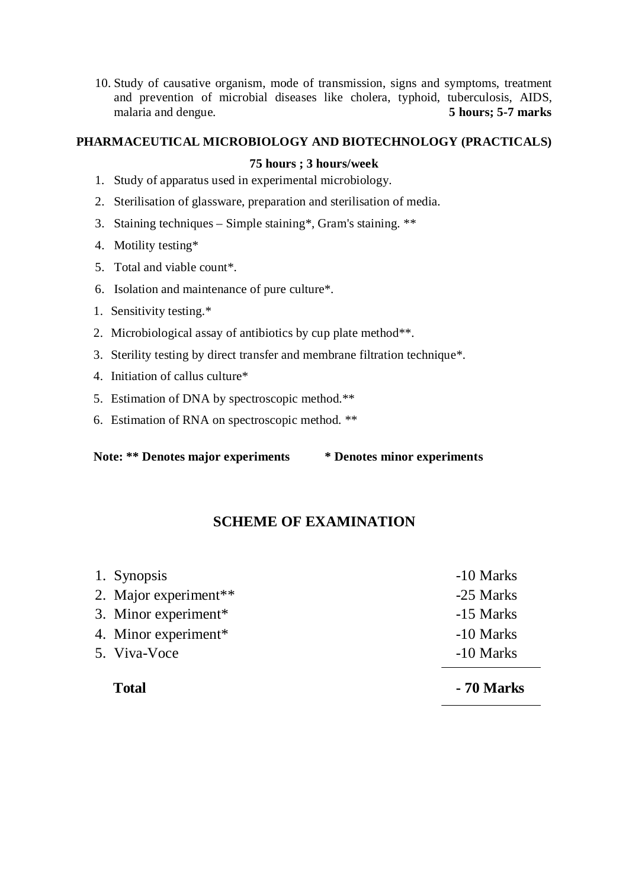10. Study of causative organism, mode of transmission, signs and symptoms, treatment and prevention of microbial diseases like cholera, typhoid, tuberculosis, AIDS, malaria and dengue. **5 hours; 5-7 marks**

## **PHARMACEUTICAL MICROBIOLOGY AND BIOTECHNOLOGY (PRACTICALS)**

## **75 hours ; 3 hours/week**

- 1. Study of apparatus used in experimental microbiology.
- 2. Sterilisation of glassware, preparation and sterilisation of media.
- 3. Staining techniques Simple staining\*, Gram's staining. \*\*
- 4. Motility testing\*
- 5. Total and viable count\*.
- 6. Isolation and maintenance of pure culture\*.
- 1. Sensitivity testing.\*
- 2. Microbiological assay of antibiotics by cup plate method\*\*.
- 3. Sterility testing by direct transfer and membrane filtration technique\*.
- 4. Initiation of callus culture\*
- 5. Estimation of DNA by spectroscopic method.\*\*
- 6. Estimation of RNA on spectroscopic method. \*\*

**Note: \*\* Denotes major experiments \* Denotes minor experiments**

# **SCHEME OF EXAMINATION**

| 1. Synopsis                       | -10 Marks |
|-----------------------------------|-----------|
| 2. Major experiment <sup>**</sup> | -25 Marks |
| 3. Minor experiment*              | -15 Marks |
| 4. Minor experiment*              | -10 Marks |
| 5. Viva-Voce                      | -10 Marks |
|                                   |           |

| ۰,<br>I |
|---------|
|---------|

**Total - 70 Marks**